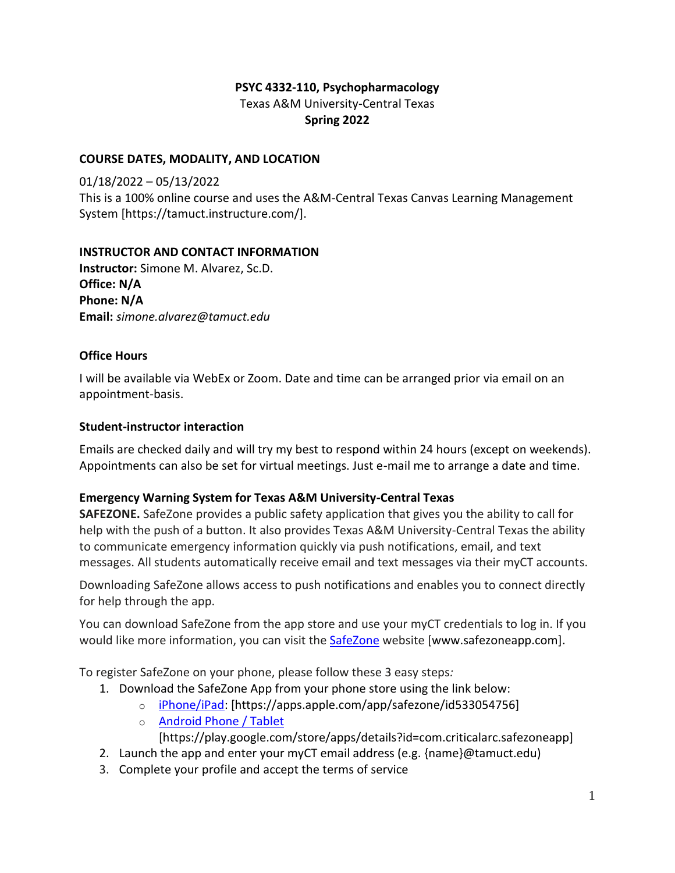## **PSYC 4332-110, Psychopharmacology** Texas A&M University-Central Texas **Spring 2022**

## **COURSE DATES, MODALITY, AND LOCATION**

01/18/2022 – 05/13/2022 This is a 100% online course and uses the A&M-Central Texas Canvas Learning Management System [https://tamuct.instructure.com/].

## **INSTRUCTOR AND CONTACT INFORMATION**

**Instructor:** Simone M. Alvarez, Sc.D. **Office: N/A Phone: N/A Email:** *simone.alvarez@tamuct.edu*

## **Office Hours**

I will be available via WebEx or Zoom. Date and time can be arranged prior via email on an appointment-basis.

## **Student-instructor interaction**

Emails are checked daily and will try my best to respond within 24 hours (except on weekends). Appointments can also be set for virtual meetings. Just e-mail me to arrange a date and time.

## **Emergency Warning System for Texas A&M University-Central Texas**

**SAFEZONE.** SafeZone provides a public safety application that gives you the ability to call for help with the push of a button. It also provides Texas A&M University-Central Texas the ability to communicate emergency information quickly via push notifications, email, and text messages. All students automatically receive email and text messages via their myCT accounts.

Downloading SafeZone allows access to push notifications and enables you to connect directly for help through the app.

You can download SafeZone from the app store and use your myCT credentials to log in. If you would like more information, you can visit the **[SafeZone](http://www.safezoneapp.com/)** website [www.safezoneapp.com].

To register SafeZone on your phone, please follow these 3 easy steps*:*

- 1. Download the SafeZone App from your phone store using the link below:
	- o [iPhone/iPad:](https://apps.apple.com/app/safezone/id533054756) [https://apps.apple.com/app/safezone/id533054756]
	- o [Android Phone / Tablet](https://play.google.com/store/apps/details?id=com.criticalarc.safezoneapp)

[https://play.google.com/store/apps/details?id=com.criticalarc.safezoneapp]

- 2. Launch the app and enter your myCT email address (e.g. {name}@tamuct.edu)
- 3. Complete your profile and accept the terms of service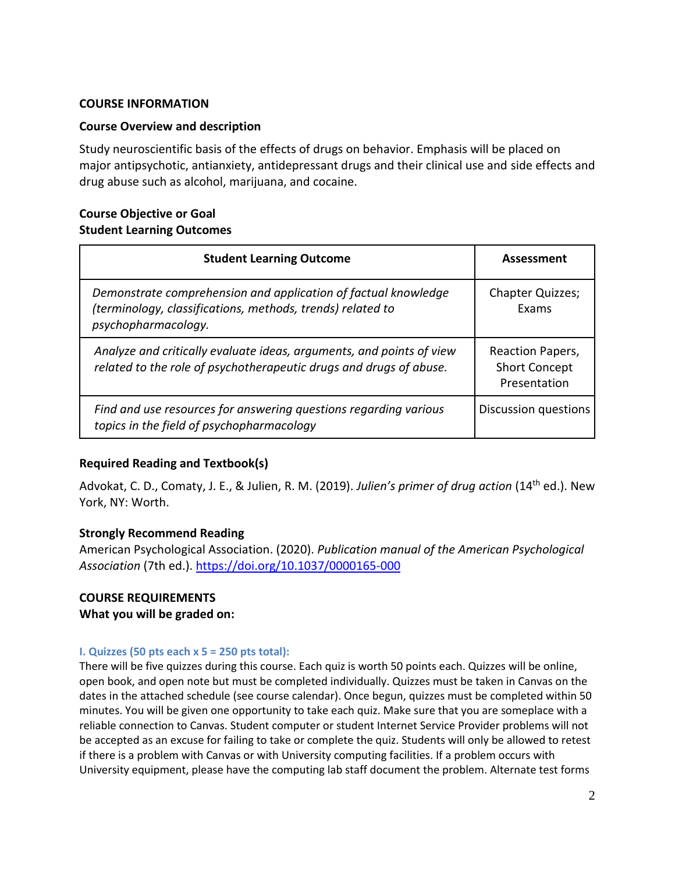### **COURSE INFORMATION**

### **Course Overview and description**

Study neuroscientific basis of the effects of drugs on behavior. Emphasis will be placed on major antipsychotic, antianxiety, antidepressant drugs and their clinical use and side effects and drug abuse such as alcohol, marijuana, and cocaine.

## **Course Objective or Goal Student Learning Outcomes**

| <b>Student Learning Outcome</b>                                                                                                                     | Assessment                                               |
|-----------------------------------------------------------------------------------------------------------------------------------------------------|----------------------------------------------------------|
| Demonstrate comprehension and application of factual knowledge<br>(terminology, classifications, methods, trends) related to<br>psychopharmacology. | <b>Chapter Quizzes;</b><br>Exams                         |
| Analyze and critically evaluate ideas, arguments, and points of view<br>related to the role of psychotherapeutic drugs and drugs of abuse.          | Reaction Papers,<br><b>Short Concept</b><br>Presentation |
| Find and use resources for answering questions regarding various<br>topics in the field of psychopharmacology                                       | Discussion questions                                     |

### **Required Reading and Textbook(s)**

Advokat, C. D., Comaty, J. E., & Julien, R. M. (2019). *Julien's primer of drug action* (14th ed.). New York, NY: Worth.

### **Strongly Recommend Reading**

American Psychological Association. (2020). *Publication manual of the American Psychological Association* (7th ed.).<https://doi.org/10.1037/0000165-000>

## **COURSE REQUIREMENTS What you will be graded on:**

### **I. Quizzes (50 pts each x 5 = 250 pts total):**

There will be five quizzes during this course. Each quiz is worth 50 points each. Quizzes will be online, open book, and open note but must be completed individually. Quizzes must be taken in Canvas on the dates in the attached schedule (see course calendar). Once begun, quizzes must be completed within 50 minutes. You will be given one opportunity to take each quiz. Make sure that you are someplace with a reliable connection to Canvas. Student computer or student Internet Service Provider problems will not be accepted as an excuse for failing to take or complete the quiz. Students will only be allowed to retest if there is a problem with Canvas or with University computing facilities. If a problem occurs with University equipment, please have the computing lab staff document the problem. Alternate test forms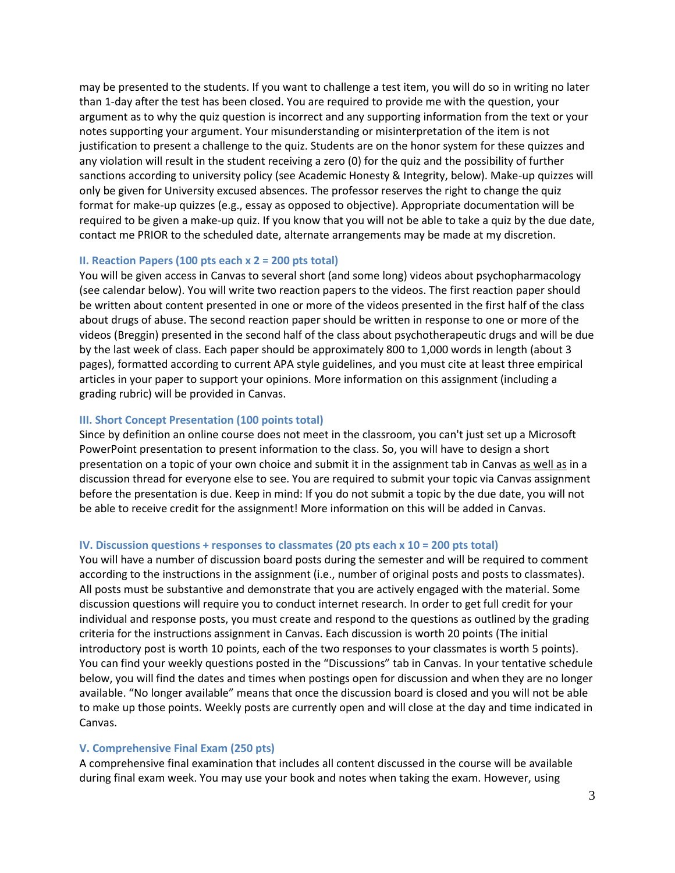may be presented to the students. If you want to challenge a test item, you will do so in writing no later than 1-day after the test has been closed. You are required to provide me with the question, your argument as to why the quiz question is incorrect and any supporting information from the text or your notes supporting your argument. Your misunderstanding or misinterpretation of the item is not justification to present a challenge to the quiz. Students are on the honor system for these quizzes and any violation will result in the student receiving a zero (0) for the quiz and the possibility of further sanctions according to university policy (see Academic Honesty & Integrity, below). Make-up quizzes will only be given for University excused absences. The professor reserves the right to change the quiz format for make-up quizzes (e.g., essay as opposed to objective). Appropriate documentation will be required to be given a make-up quiz. If you know that you will not be able to take a quiz by the due date, contact me PRIOR to the scheduled date, alternate arrangements may be made at my discretion.

#### **II. Reaction Papers (100 pts each x 2 = 200 pts total)**

You will be given access in Canvas to several short (and some long) videos about psychopharmacology (see calendar below). You will write two reaction papers to the videos. The first reaction paper should be written about content presented in one or more of the videos presented in the first half of the class about drugs of abuse. The second reaction paper should be written in response to one or more of the videos (Breggin) presented in the second half of the class about psychotherapeutic drugs and will be due by the last week of class. Each paper should be approximately 800 to 1,000 words in length (about 3 pages), formatted according to current APA style guidelines, and you must cite at least three empirical articles in your paper to support your opinions. More information on this assignment (including a grading rubric) will be provided in Canvas.

#### **III. Short Concept Presentation (100 points total)**

Since by definition an online course does not meet in the classroom, you can't just set up a Microsoft PowerPoint presentation to present information to the class. So, you will have to design a short presentation on a topic of your own choice and submit it in the assignment tab in Canvas as well as in a discussion thread for everyone else to see. You are required to submit your topic via Canvas assignment before the presentation is due. Keep in mind: If you do not submit a topic by the due date, you will not be able to receive credit for the assignment! More information on this will be added in Canvas.

#### **IV. Discussion questions + responses to classmates (20 pts each x 10 = 200 pts total)**

You will have a number of discussion board posts during the semester and will be required to comment according to the instructions in the assignment (i.e., number of original posts and posts to classmates). All posts must be substantive and demonstrate that you are actively engaged with the material. Some discussion questions will require you to conduct internet research. In order to get full credit for your individual and response posts, you must create and respond to the questions as outlined by the grading criteria for the instructions assignment in Canvas. Each discussion is worth 20 points (The initial introductory post is worth 10 points, each of the two responses to your classmates is worth 5 points). You can find your weekly questions posted in the "Discussions" tab in Canvas. In your tentative schedule below, you will find the dates and times when postings open for discussion and when they are no longer available. "No longer available" means that once the discussion board is closed and you will not be able to make up those points. Weekly posts are currently open and will close at the day and time indicated in Canvas.

#### **V. Comprehensive Final Exam (250 pts)**

A comprehensive final examination that includes all content discussed in the course will be available during final exam week. You may use your book and notes when taking the exam. However, using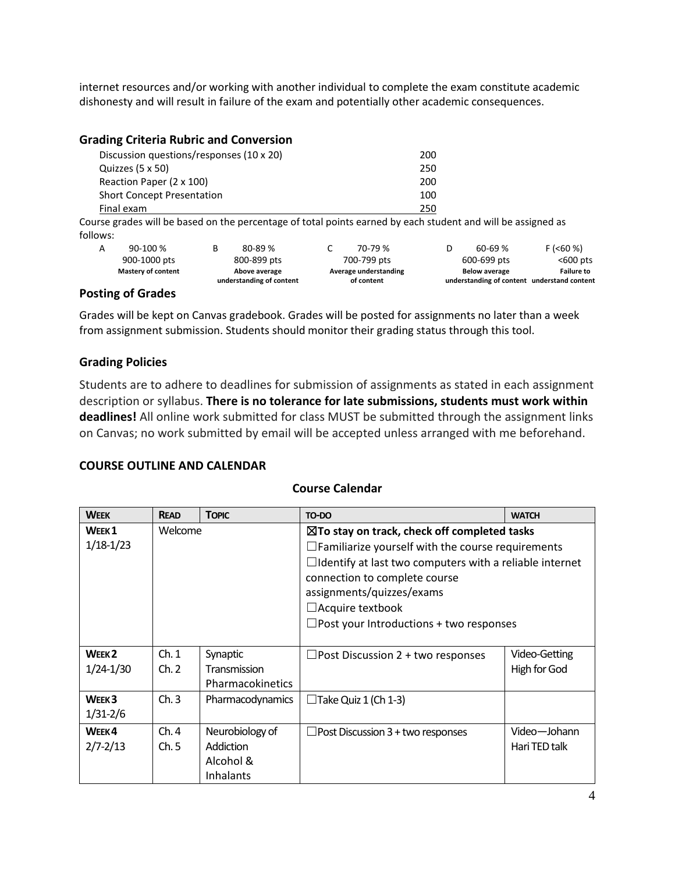internet resources and/or working with another individual to complete the exam constitute academic dishonesty and will result in failure of the exam and potentially other academic consequences.

#### **Grading Criteria Rubric and Conversion**

| Discussion questions/responses (10 x 20)                                                                     | 200 |  |  |  |  |
|--------------------------------------------------------------------------------------------------------------|-----|--|--|--|--|
| Quizzes (5 x 50)                                                                                             | 250 |  |  |  |  |
| Reaction Paper (2 x 100)                                                                                     | 200 |  |  |  |  |
| <b>Short Concept Presentation</b>                                                                            | 100 |  |  |  |  |
| Final exam                                                                                                   | 250 |  |  |  |  |
| Course grades will be based on the percentage of total points earned by each student and will be assigned as |     |  |  |  |  |

follows:

|                  |                           | understanding of content | of content            |                      | understanding of content understand content |
|------------------|---------------------------|--------------------------|-----------------------|----------------------|---------------------------------------------|
|                  | <b>Mastery of content</b> | Above average            | Average understanding | <b>Below average</b> | <b>Failure to</b>                           |
|                  | 900-1000 pts              | 800-899 pts              | 700-799 pts           | 600-699 pts          | <600 pts                                    |
| A                | $90-100%$                 | 80-89 %                  | 70-79 %               | $60 - 69%$           | F (560%)                                    |
| , , , <u>,</u> , |                           |                          |                       |                      |                                             |

#### **Posting of Grades**

Grades will be kept on Canvas gradebook. Grades will be posted for assignments no later than a week from assignment submission. Students should monitor their grading status through this tool.

### **Grading Policies**

Students are to adhere to deadlines for submission of assignments as stated in each assignment description or syllabus. **There is no tolerance for late submissions, students must work within deadlines!** All online work submitted for class MUST be submitted through the assignment links on Canvas; no work submitted by email will be accepted unless arranged with me beforehand.

#### **COURSE OUTLINE AND CALENDAR**

#### **Course Calendar**

| <b>WEEK</b>                        | <b>READ</b>   | <b>TOPIC</b>                                                  | TO-DO                                                                                                                                                                                                                                                                                                                            | <b>WATCH</b>                  |
|------------------------------------|---------------|---------------------------------------------------------------|----------------------------------------------------------------------------------------------------------------------------------------------------------------------------------------------------------------------------------------------------------------------------------------------------------------------------------|-------------------------------|
| WEEK <sub>1</sub><br>$1/18-1/23$   | Welcome       |                                                               | $\boxtimes$ To stay on track, check off completed tasks<br>$\Box$ Familiarize yourself with the course requirements<br>$\Box$ Identify at last two computers with a reliable internet<br>connection to complete course<br>assignments/quizzes/exams<br>$\Box$ Acquire textbook<br>$\Box$ Post your Introductions + two responses |                               |
| WEEK <sub>2</sub><br>$1/24 - 1/30$ | Ch.1<br>Ch. 2 | Synaptic<br>Transmission<br>Pharmacokinetics                  | $\Box$ Post Discussion 2 + two responses                                                                                                                                                                                                                                                                                         | Video-Getting<br>High for God |
| WEEK <sub>3</sub><br>$1/31 - 2/6$  | Ch.3          | Pharmacodynamics                                              | $\Box$ Take Quiz 1 (Ch 1-3)                                                                                                                                                                                                                                                                                                      |                               |
| WEEK4<br>$2/7 - 2/13$              | Ch.4<br>Ch.5  | Neurobiology of<br><b>Addiction</b><br>Alcohol &<br>Inhalants | $\Box$ Post Discussion 3 + two responses                                                                                                                                                                                                                                                                                         | Video-Johann<br>Hari TED talk |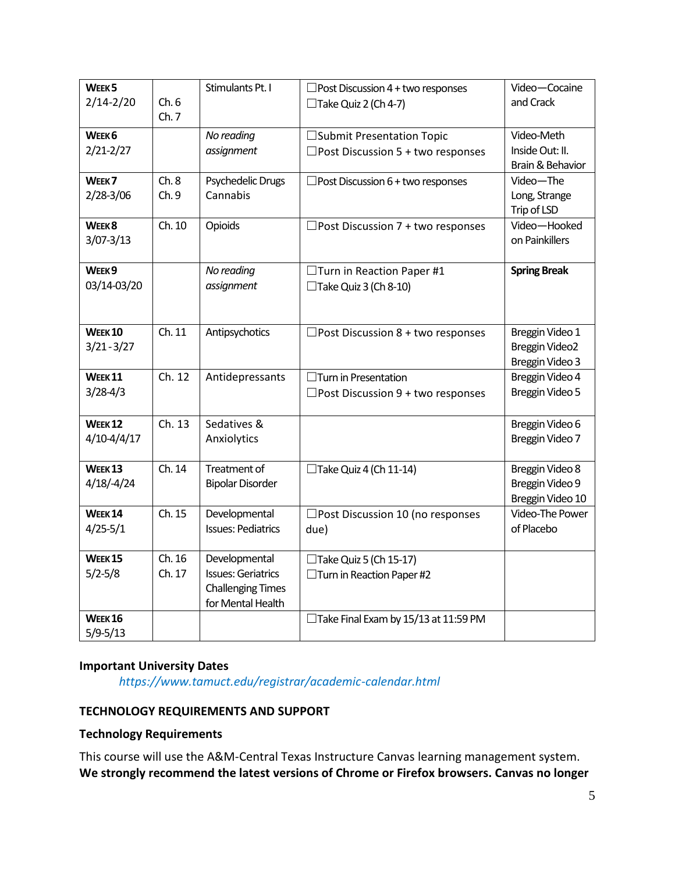| WEEK <sub>5</sub>  |        | Stimulants Pt. I          | $\Box$ Post Discussion 4 + two responses   | Video-Cocaine       |
|--------------------|--------|---------------------------|--------------------------------------------|---------------------|
| $2/14 - 2/20$      | Ch.6   |                           | $\Box$ Take Quiz 2 (Ch 4-7)                | and Crack           |
|                    | Ch.7   |                           |                                            |                     |
| WEEK <sub>6</sub>  |        | No reading                | □ Submit Presentation Topic                | Video-Meth          |
| $2/21 - 2/27$      |        | assignment                | $\Box$ Post Discussion 5 + two responses   | Inside Out: II.     |
|                    |        |                           |                                            | Brain & Behavior    |
| WEEK <sub>7</sub>  | Ch.8   | Psychedelic Drugs         | $\Box$ Post Discussion 6 + two responses   | Video-The           |
| 2/28-3/06          | Ch. 9  | Cannabis                  |                                            | Long, Strange       |
|                    |        |                           |                                            | Trip of LSD         |
| WEEK <sub>8</sub>  | Ch. 10 | Opioids                   | $\Box$ Post Discussion 7 + two responses   | Video-Hooked        |
| $3/07 - 3/13$      |        |                           |                                            | on Painkillers      |
|                    |        |                           |                                            |                     |
| WEEK9              |        | No reading                | □Turn in Reaction Paper #1                 | <b>Spring Break</b> |
| 03/14-03/20        |        | assignment                | $\Box$ Take Quiz 3 (Ch 8-10)               |                     |
|                    |        |                           |                                            |                     |
|                    |        |                           |                                            |                     |
| <b>WEEK10</b>      | Ch. 11 | Antipsychotics            | $\Box$ Post Discussion 8 + two responses   | Breggin Video 1     |
| $3/21 - 3/27$      |        |                           |                                            | Breggin Video2      |
|                    |        |                           |                                            | Breggin Video 3     |
| WEEK <sub>11</sub> | Ch. 12 | Antidepressants           | $\Box$ Turn in Presentation                | Breggin Video 4     |
| $3/28 - 4/3$       |        |                           | $\Box$ Post Discussion 9 + two responses   | Breggin Video 5     |
|                    |        |                           |                                            |                     |
| <b>WEEK12</b>      | Ch. 13 | Sedatives &               |                                            | Breggin Video 6     |
| $4/10 - 4/4/17$    |        | Anxiolytics               |                                            | Breggin Video 7     |
|                    |        |                           |                                            |                     |
| WEEK <sub>13</sub> | Ch. 14 | <b>Treatment of</b>       | $\Box$ Take Quiz 4 (Ch 11-14)              | Breggin Video 8     |
| $4/18/-4/24$       |        | <b>Bipolar Disorder</b>   |                                            | Breggin Video 9     |
|                    |        |                           |                                            | Breggin Video 10    |
| <b>WEEK 14</b>     | Ch. 15 | Developmental             | $\square$ Post Discussion 10 (no responses | Video-The Power     |
| $4/25 - 5/1$       |        | <b>Issues: Pediatrics</b> | due)                                       | of Placebo          |
| <b>WEEK 15</b>     | Ch. 16 | Developmental             | $\Box$ Take Quiz 5 (Ch 15-17)              |                     |
| $5/2 - 5/8$        | Ch. 17 | <b>Issues: Geriatrics</b> | □ Turn in Reaction Paper #2                |                     |
|                    |        | <b>Challenging Times</b>  |                                            |                     |
|                    |        | for Mental Health         |                                            |                     |
| <b>WEEK 16</b>     |        |                           | □Take Final Exam by 15/13 at 11:59 PM      |                     |
| $5/9 - 5/13$       |        |                           |                                            |                     |

## **Important University Dates**

*https://www.tamuct.edu/registrar/academic-calendar.html*

## **TECHNOLOGY REQUIREMENTS AND SUPPORT**

### **Technology Requirements**

This course will use the A&M-Central Texas Instructure Canvas learning management system. **We strongly recommend the latest versions of Chrome or Firefox browsers. Canvas no longer**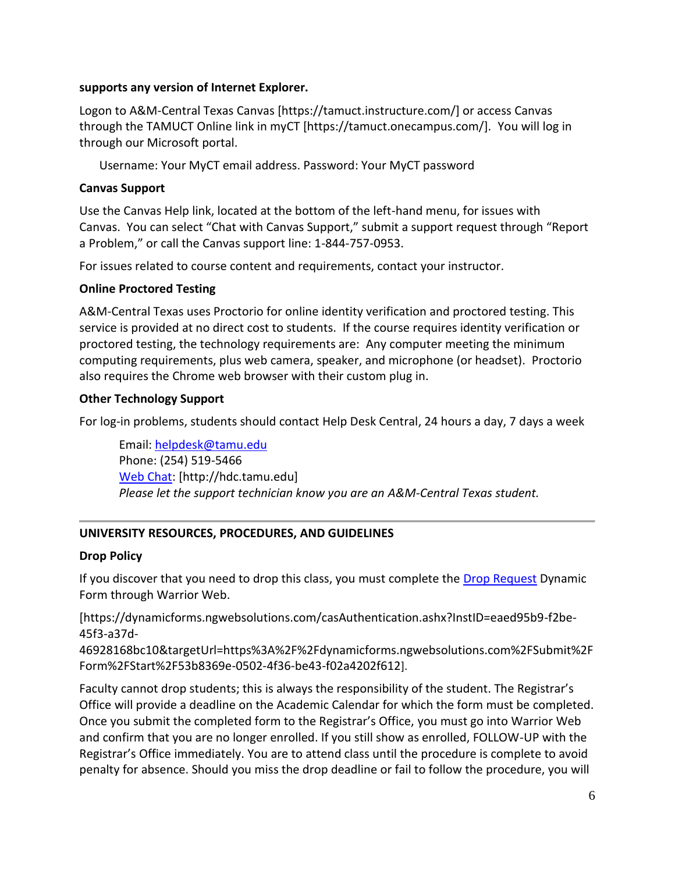## **supports any version of Internet Explorer.**

Logon to A&M-Central Texas Canvas [https://tamuct.instructure.com/] or access Canvas through the TAMUCT Online link in myCT [https://tamuct.onecampus.com/]. You will log in through our Microsoft portal.

Username: Your MyCT email address. Password: Your MyCT password

## **Canvas Support**

Use the Canvas Help link, located at the bottom of the left-hand menu, for issues with Canvas. You can select "Chat with Canvas Support," submit a support request through "Report a Problem," or call the Canvas support line: 1-844-757-0953.

For issues related to course content and requirements, contact your instructor.

## **Online Proctored Testing**

A&M-Central Texas uses Proctorio for online identity verification and proctored testing. This service is provided at no direct cost to students. If the course requires identity verification or proctored testing, the technology requirements are: Any computer meeting the minimum computing requirements, plus web camera, speaker, and microphone (or headset). Proctorio also requires the Chrome web browser with their custom plug in.

## **Other Technology Support**

For log-in problems, students should contact Help Desk Central, 24 hours a day, 7 days a week

Email: [helpdesk@tamu.edu](mailto:helpdesk@tamu.edu) Phone: (254) 519-5466 [Web Chat:](http://hdc.tamu.edu/) [http://hdc.tamu.edu] *Please let the support technician know you are an A&M-Central Texas student.*

## **UNIVERSITY RESOURCES, PROCEDURES, AND GUIDELINES**

## **Drop Policy**

If you discover that you need to drop this class, you must complete the [Drop Request](https://dynamicforms.ngwebsolutions.com/casAuthentication.ashx?InstID=eaed95b9-f2be-45f3-a37d-46928168bc10&targetUrl=https%3A%2F%2Fdynamicforms.ngwebsolutions.com%2FSubmit%2FForm%2FStart%2F53b8369e-0502-4f36-be43-f02a4202f612) Dynamic Form through Warrior Web.

[https://dynamicforms.ngwebsolutions.com/casAuthentication.ashx?InstID=eaed95b9-f2be-45f3-a37d-

46928168bc10&targetUrl=https%3A%2F%2Fdynamicforms.ngwebsolutions.com%2FSubmit%2F Form%2FStart%2F53b8369e-0502-4f36-be43-f02a4202f612].

Faculty cannot drop students; this is always the responsibility of the student. The Registrar's Office will provide a deadline on the Academic Calendar for which the form must be completed. Once you submit the completed form to the Registrar's Office, you must go into Warrior Web and confirm that you are no longer enrolled. If you still show as enrolled, FOLLOW-UP with the Registrar's Office immediately. You are to attend class until the procedure is complete to avoid penalty for absence. Should you miss the drop deadline or fail to follow the procedure, you will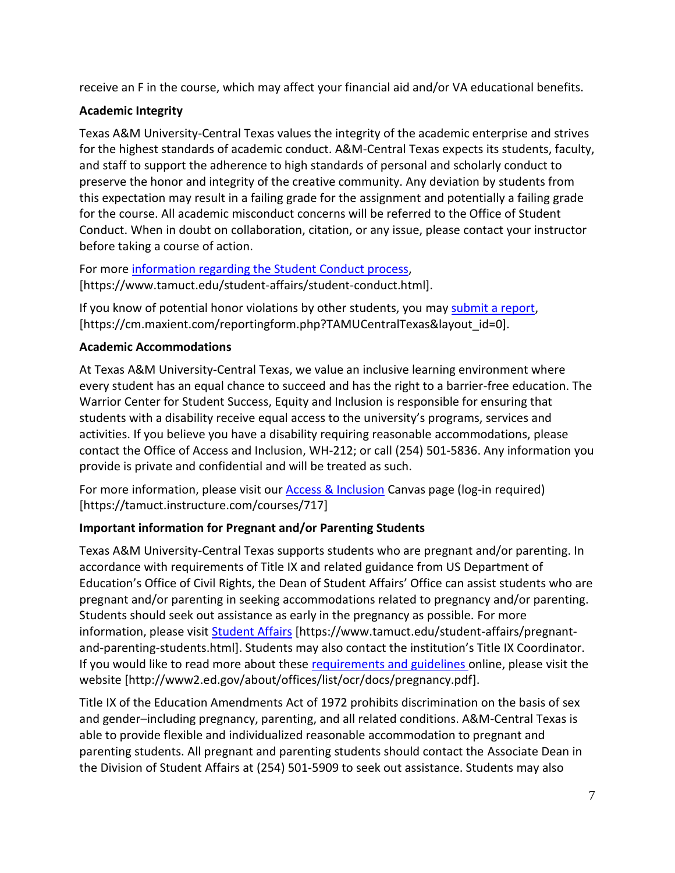receive an F in the course, which may affect your financial aid and/or VA educational benefits.

## **Academic Integrity**

Texas A&M University-Central Texas values the integrity of the academic enterprise and strives for the highest standards of academic conduct. A&M-Central Texas expects its students, faculty, and staff to support the adherence to high standards of personal and scholarly conduct to preserve the honor and integrity of the creative community. Any deviation by students from this expectation may result in a failing grade for the assignment and potentially a failing grade for the course. All academic misconduct concerns will be referred to the Office of Student Conduct. When in doubt on collaboration, citation, or any issue, please contact your instructor before taking a course of action.

For more [information](https://nam04.safelinks.protection.outlook.com/?url=https%3A%2F%2Fwww.tamuct.edu%2Fstudent-affairs%2Fstudent-conduct.html&data=04%7C01%7Clisa.bunkowski%40tamuct.edu%7Ccfb6e486f24745f53e1a08d910055cb2%7C9eed4e3000f744849ff193ad8005acec%7C0%7C0%7C637558437485252160%7CUnknown%7CTWFpbGZsb3d8eyJWIjoiMC4wLjAwMDAiLCJQIjoiV2luMzIiLCJBTiI6Ik1haWwiLCJXVCI6Mn0%3D%7C1000&sdata=yjftDEVHvLX%2FhM%2FcFU0B99krV1RgEWR%2BJ%2BhvtoR6TYk%3D&reserved=0) regarding the Student Conduct process, [https://www.tamuct.edu/student-affairs/student-conduct.html].

If you know of potential honor violations by other students, you may [submit](https://nam04.safelinks.protection.outlook.com/?url=https%3A%2F%2Fcm.maxient.com%2Freportingform.php%3FTAMUCentralTexas%26layout_id%3D0&data=04%7C01%7Clisa.bunkowski%40tamuct.edu%7Ccfb6e486f24745f53e1a08d910055cb2%7C9eed4e3000f744849ff193ad8005acec%7C0%7C0%7C637558437485262157%7CUnknown%7CTWFpbGZsb3d8eyJWIjoiMC4wLjAwMDAiLCJQIjoiV2luMzIiLCJBTiI6Ik1haWwiLCJXVCI6Mn0%3D%7C1000&sdata=CXGkOa6uPDPX1IMZ87z3aZDq2n91xfHKu4MMS43Ejjk%3D&reserved=0) a report, [https://cm.maxient.com/reportingform.php?TAMUCentralTexas&layout\_id=0].

## **Academic Accommodations**

At Texas A&M University-Central Texas, we value an inclusive learning environment where every student has an equal chance to succeed and has the right to a barrier-free education. The Warrior Center for Student Success, Equity and Inclusion is responsible for ensuring that students with a disability receive equal access to the university's programs, services and activities. If you believe you have a disability requiring reasonable accommodations, please contact the Office of Access and Inclusion, WH-212; or call (254) 501-5836. Any information you provide is private and confidential and will be treated as such.

For more information, please visit our **Access & Inclusion Canvas page (log-in required)** [https://tamuct.instructure.com/courses/717]

# **Important information for Pregnant and/or Parenting Students**

Texas A&M University-Central Texas supports students who are pregnant and/or parenting. In accordance with requirements of Title IX and related guidance from US Department of Education's Office of Civil Rights, the Dean of Student Affairs' Office can assist students who are pregnant and/or parenting in seeking accommodations related to pregnancy and/or parenting. Students should seek out assistance as early in the pregnancy as possible. For more information, please visit [Student Affairs](https://www.tamuct.edu/student-affairs/pregnant-and-parenting-students.html) [https://www.tamuct.edu/student-affairs/pregnantand-parenting-students.html]. Students may also contact the institution's Title IX Coordinator. If you would like to read more about these [requirements and guidelines](http://www2.ed.gov/about/offices/list/ocr/docs/pregnancy.pdf) online, please visit the website [http://www2.ed.gov/about/offices/list/ocr/docs/pregnancy.pdf].

Title IX of the Education Amendments Act of 1972 prohibits discrimination on the basis of sex and gender–including pregnancy, parenting, and all related conditions. A&M-Central Texas is able to provide flexible and individualized reasonable accommodation to pregnant and parenting students. All pregnant and parenting students should contact the Associate Dean in the Division of Student Affairs at (254) 501-5909 to seek out assistance. Students may also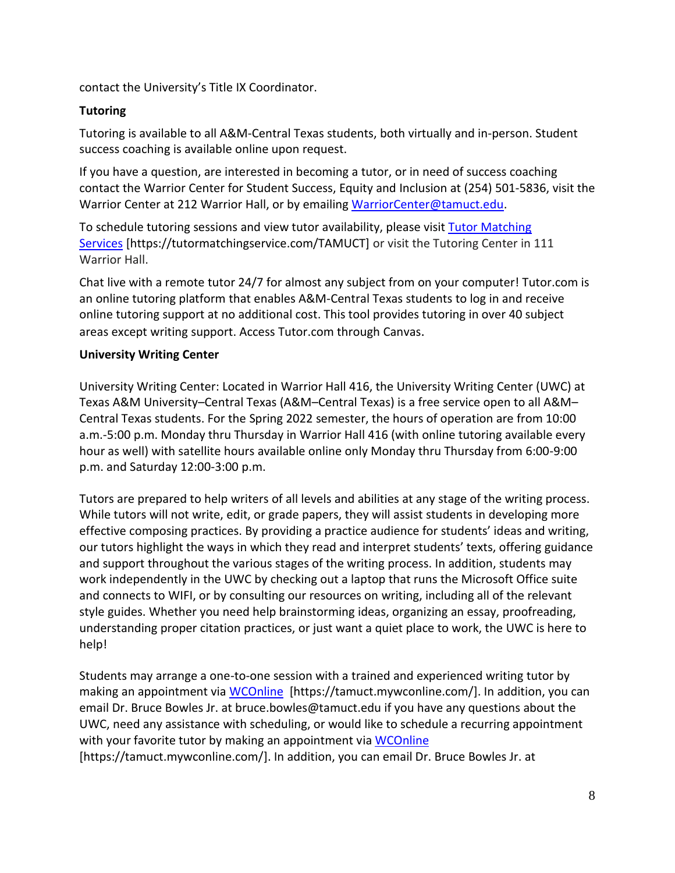contact the University's Title IX Coordinator.

## **Tutoring**

Tutoring is available to all A&M-Central Texas students, both virtually and in-person. Student success coaching is available online upon request.

If you have a question, are interested in becoming a tutor, or in need of success coaching contact the Warrior Center for Student Success, Equity and Inclusion at (254) 501-5836, visit the Warrior Center at 212 Warrior Hall, or by emailing [WarriorCenter@tamuct.edu.](mailto:WarriorCenter@tamuct.edu)

To schedule tutoring sessions and view tutor availability, please visit Tutor [Matching](https://nam04.safelinks.protection.outlook.com/?url=http%3A%2F%2Fwww.tutormatchingservices.com%2FTAMUCT&data=04%7C01%7Clisa.bunkowski%40tamuct.edu%7C886784139069461670c308d9aa01f55e%7C9eed4e3000f744849ff193ad8005acec%7C0%7C0%7C637727747643427346%7CUnknown%7CTWFpbGZsb3d8eyJWIjoiMC4wLjAwMDAiLCJQIjoiV2luMzIiLCJBTiI6Ik1haWwiLCJXVCI6Mn0%3D%7C3000&sdata=D%2F8HN2bUT1lLPfs5qSqKYlwh8a7pZVy7isM2gppluQE%3D&reserved=0) [Services](https://nam04.safelinks.protection.outlook.com/?url=http%3A%2F%2Fwww.tutormatchingservices.com%2FTAMUCT&data=04%7C01%7Clisa.bunkowski%40tamuct.edu%7C886784139069461670c308d9aa01f55e%7C9eed4e3000f744849ff193ad8005acec%7C0%7C0%7C637727747643427346%7CUnknown%7CTWFpbGZsb3d8eyJWIjoiMC4wLjAwMDAiLCJQIjoiV2luMzIiLCJBTiI6Ik1haWwiLCJXVCI6Mn0%3D%7C3000&sdata=D%2F8HN2bUT1lLPfs5qSqKYlwh8a7pZVy7isM2gppluQE%3D&reserved=0) [https://tutormatchingservice.com/TAMUCT] or visit the Tutoring Center in 111 Warrior Hall.

Chat live with a remote tutor 24/7 for almost any subject from on your computer! Tutor.com is an online tutoring platform that enables A&M-Central Texas students to log in and receive online tutoring support at no additional cost. This tool provides tutoring in over 40 subject areas except writing support. Access Tutor.com through Canvas.

## **University Writing Center**

University Writing Center: Located in Warrior Hall 416, the University Writing Center (UWC) at Texas A&M University–Central Texas (A&M–Central Texas) is a free service open to all A&M– Central Texas students. For the Spring 2022 semester, the hours of operation are from 10:00 a.m.-5:00 p.m. Monday thru Thursday in Warrior Hall 416 (with online tutoring available every hour as well) with satellite hours available online only Monday thru Thursday from 6:00-9:00 p.m. and Saturday 12:00-3:00 p.m.

Tutors are prepared to help writers of all levels and abilities at any stage of the writing process. While tutors will not write, edit, or grade papers, they will assist students in developing more effective composing practices. By providing a practice audience for students' ideas and writing, our tutors highlight the ways in which they read and interpret students' texts, offering guidance and support throughout the various stages of the writing process. In addition, students may work independently in the UWC by checking out a laptop that runs the Microsoft Office suite and connects to WIFI, or by consulting our resources on writing, including all of the relevant style guides. Whether you need help brainstorming ideas, organizing an essay, proofreading, understanding proper citation practices, or just want a quiet place to work, the UWC is here to help!

Students may arrange a one-to-one session with a trained and experienced writing tutor by making an appointment via [WCOnline](https://tamuct.mywconline.com/) [https://tamuct.mywconline.com/]. In addition, you can email Dr. Bruce Bowles Jr. at bruce.bowles@tamuct.edu if you have any questions about the UWC, need any assistance with scheduling, or would like to schedule a recurring appointment with your favorite tutor by making an appointment via [WCOnline](https://tamuct.mywconline.com/) [https://tamuct.mywconline.com/]. In addition, you can email Dr. Bruce Bowles Jr. at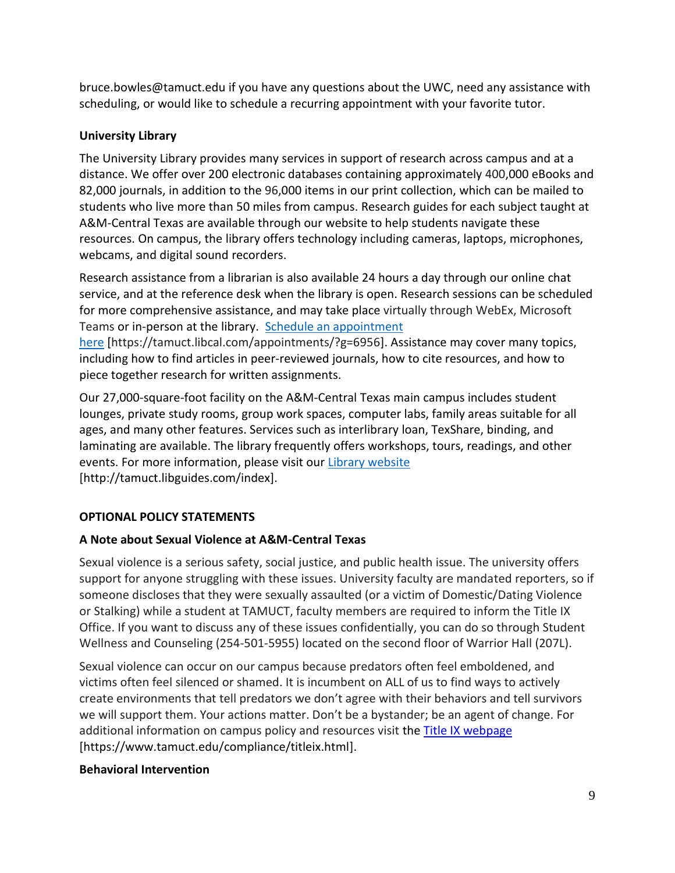bruce.bowles@tamuct.edu if you have any questions about the UWC, need any assistance with scheduling, or would like to schedule a recurring appointment with your favorite tutor.

## **University Library**

The University Library provides many services in support of research across campus and at a distance. We offer over 200 electronic databases containing approximately 400,000 eBooks and 82,000 journals, in addition to the 96,000 items in our print collection, which can be mailed to students who live more than 50 miles from campus. Research guides for each subject taught at A&M-Central Texas are available through our website to help students navigate these resources. On campus, the library offers technology including cameras, laptops, microphones, webcams, and digital sound recorders.

Research assistance from a librarian is also available 24 hours a day through our online chat service, and at the reference desk when the library is open. Research sessions can be scheduled for more comprehensive assistance, and may take place virtually through WebEx, Microsoft Teams or in-person at the library. Schedule an [appointment](https://nam04.safelinks.protection.outlook.com/?url=https%3A%2F%2Ftamuct.libcal.com%2Fappointments%2F%3Fg%3D6956&data=04%7C01%7Clisa.bunkowski%40tamuct.edu%7Cde2c07d9f5804f09518008d9ab7ba6ff%7C9eed4e3000f744849ff193ad8005acec%7C0%7C0%7C637729369835011558%7CUnknown%7CTWFpbGZsb3d8eyJWIjoiMC4wLjAwMDAiLCJQIjoiV2luMzIiLCJBTiI6Ik1haWwiLCJXVCI6Mn0%3D%7C3000&sdata=KhtjgRSAw9aq%2FoBsB6wyu8b7PSuGN5EGPypzr3Ty2No%3D&reserved=0)

[here](https://nam04.safelinks.protection.outlook.com/?url=https%3A%2F%2Ftamuct.libcal.com%2Fappointments%2F%3Fg%3D6956&data=04%7C01%7Clisa.bunkowski%40tamuct.edu%7Cde2c07d9f5804f09518008d9ab7ba6ff%7C9eed4e3000f744849ff193ad8005acec%7C0%7C0%7C637729369835011558%7CUnknown%7CTWFpbGZsb3d8eyJWIjoiMC4wLjAwMDAiLCJQIjoiV2luMzIiLCJBTiI6Ik1haWwiLCJXVCI6Mn0%3D%7C3000&sdata=KhtjgRSAw9aq%2FoBsB6wyu8b7PSuGN5EGPypzr3Ty2No%3D&reserved=0) [https://tamuct.libcal.com/appointments/?g=6956]. Assistance may cover many topics, including how to find articles in peer-reviewed journals, how to cite resources, and how to piece together research for written assignments.

Our 27,000-square-foot facility on the A&M-Central Texas main campus includes student lounges, private study rooms, group work spaces, computer labs, family areas suitable for all ages, and many other features. Services such as interlibrary loan, TexShare, binding, and laminating are available. The library frequently offers workshops, tours, readings, and other events. For more information, please visit our Library [website](https://nam04.safelinks.protection.outlook.com/?url=https%3A%2F%2Ftamuct.libguides.com%2Findex&data=04%7C01%7Clisa.bunkowski%40tamuct.edu%7C7d8489e8839a4915335f08d916f067f2%7C9eed4e3000f744849ff193ad8005acec%7C0%7C0%7C637566044056484222%7CUnknown%7CTWFpbGZsb3d8eyJWIjoiMC4wLjAwMDAiLCJQIjoiV2luMzIiLCJBTiI6Ik1haWwiLCJXVCI6Mn0%3D%7C1000&sdata=2R755V6rcIyedGrd4Os5rkgn1PvhHKU3kUV1vBKiHFo%3D&reserved=0) [http://tamuct.libguides.com/index].

# **OPTIONAL POLICY STATEMENTS**

# **A Note about Sexual Violence at A&M-Central Texas**

Sexual violence is a serious safety, social justice, and public health issue. The university offers support for anyone struggling with these issues. University faculty are mandated reporters, so if someone discloses that they were sexually assaulted (or a victim of Domestic/Dating Violence or Stalking) while a student at TAMUCT, faculty members are required to inform the Title IX Office. If you want to discuss any of these issues confidentially, you can do so through Student Wellness and Counseling (254-501-5955) located on the second floor of Warrior Hall (207L).

Sexual violence can occur on our campus because predators often feel emboldened, and victims often feel silenced or shamed. It is incumbent on ALL of us to find ways to actively create environments that tell predators we don't agree with their behaviors and tell survivors we will support them. Your actions matter. Don't be a bystander; be an agent of change. For additional information on campus policy and resources visit the **Title IX webpage** [\[https://www.tamuct.edu/compliance/titleix.html\]](https://www.tamuct.edu/compliance/titleix.html).

## **Behavioral Intervention**